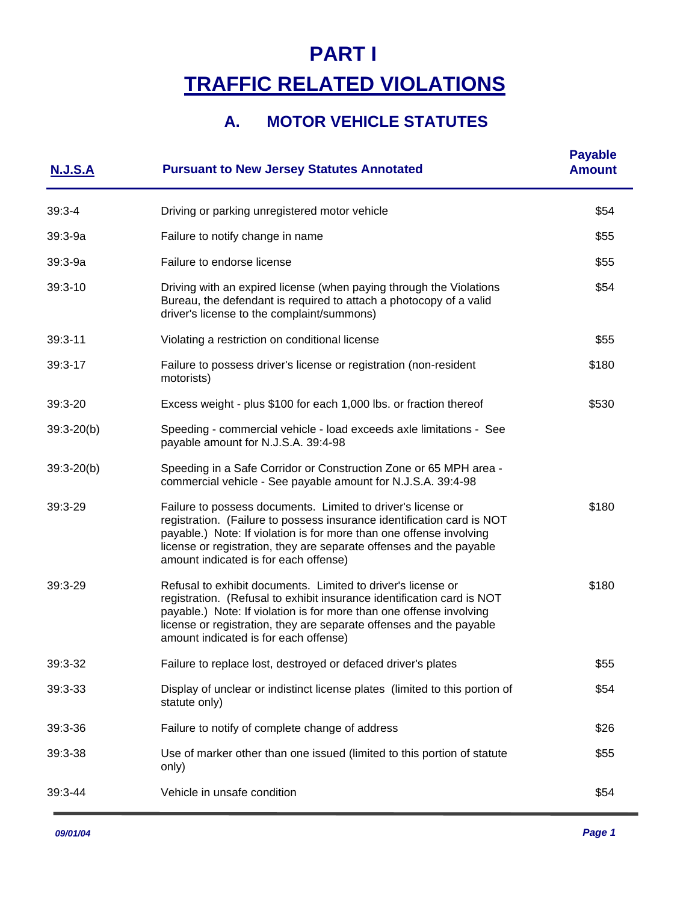# **PART I TRAFFIC RELATED VIOLATIONS**

# **A. MOTOR VEHICLE STATUTES**

| <b>N.J.S.A</b> | <b>Pursuant to New Jersey Statutes Annotated</b>                                                                                                                                                                                                                                                                              | <b>Payable</b><br><b>Amount</b> |
|----------------|-------------------------------------------------------------------------------------------------------------------------------------------------------------------------------------------------------------------------------------------------------------------------------------------------------------------------------|---------------------------------|
| $39:3 - 4$     | Driving or parking unregistered motor vehicle                                                                                                                                                                                                                                                                                 | \$54                            |
| $39:3 - 9a$    | Failure to notify change in name                                                                                                                                                                                                                                                                                              | \$55                            |
| $39:3 - 9a$    | Failure to endorse license                                                                                                                                                                                                                                                                                                    | \$55                            |
| 39:3-10        | Driving with an expired license (when paying through the Violations<br>Bureau, the defendant is required to attach a photocopy of a valid<br>driver's license to the complaint/summons)                                                                                                                                       | \$54                            |
| $39:3 - 11$    | Violating a restriction on conditional license                                                                                                                                                                                                                                                                                | \$55                            |
| 39:3-17        | Failure to possess driver's license or registration (non-resident<br>motorists)                                                                                                                                                                                                                                               | \$180                           |
| $39:3 - 20$    | Excess weight - plus \$100 for each 1,000 lbs. or fraction thereof                                                                                                                                                                                                                                                            | \$530                           |
| $39:3 - 20(b)$ | Speeding - commercial vehicle - load exceeds axle limitations - See<br>payable amount for N.J.S.A. 39:4-98                                                                                                                                                                                                                    |                                 |
| $39:3 - 20(b)$ | Speeding in a Safe Corridor or Construction Zone or 65 MPH area -<br>commercial vehicle - See payable amount for N.J.S.A. 39:4-98                                                                                                                                                                                             |                                 |
| 39:3-29        | Failure to possess documents. Limited to driver's license or<br>registration. (Failure to possess insurance identification card is NOT<br>payable.) Note: If violation is for more than one offense involving<br>license or registration, they are separate offenses and the payable<br>amount indicated is for each offense) | \$180                           |
| 39:3-29        | Refusal to exhibit documents. Limited to driver's license or<br>registration. (Refusal to exhibit insurance identification card is NOT<br>payable.) Note: If violation is for more than one offense involving<br>license or registration, they are separate offenses and the payable<br>amount indicated is for each offense) | \$180                           |
| 39:3-32        | Failure to replace lost, destroyed or defaced driver's plates                                                                                                                                                                                                                                                                 | \$55                            |
| 39:3-33        | Display of unclear or indistinct license plates (limited to this portion of<br>statute only)                                                                                                                                                                                                                                  | \$54                            |
| 39:3-36        | Failure to notify of complete change of address                                                                                                                                                                                                                                                                               | \$26                            |
| 39:3-38        | Use of marker other than one issued (limited to this portion of statute<br>only)                                                                                                                                                                                                                                              | \$55                            |
| 39:3-44        | Vehicle in unsafe condition                                                                                                                                                                                                                                                                                                   | \$54                            |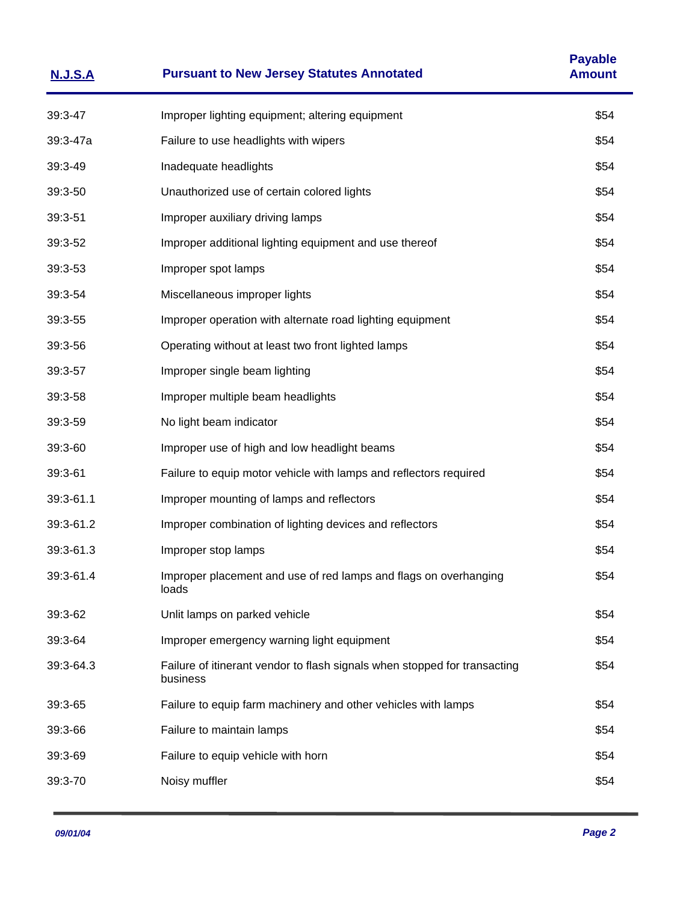| <b>N.J.S.A</b> | <b>Pursuant to New Jersey Statutes Annotated</b>                                      | <b>Payable</b><br><b>Amount</b> |
|----------------|---------------------------------------------------------------------------------------|---------------------------------|
| 39:3-47        | Improper lighting equipment; altering equipment                                       | \$54                            |
| 39:3-47a       | Failure to use headlights with wipers                                                 | \$54                            |
| 39:3-49        | Inadequate headlights                                                                 | \$54                            |
| 39:3-50        | Unauthorized use of certain colored lights                                            | \$54                            |
| 39:3-51        | Improper auxiliary driving lamps                                                      | \$54                            |
| 39:3-52        | Improper additional lighting equipment and use thereof                                | \$54                            |
| 39:3-53        | Improper spot lamps                                                                   | \$54                            |
| 39:3-54        | Miscellaneous improper lights                                                         | \$54                            |
| 39:3-55        | Improper operation with alternate road lighting equipment                             | \$54                            |
| 39:3-56        | Operating without at least two front lighted lamps                                    | \$54                            |
| 39:3-57        | Improper single beam lighting                                                         | \$54                            |
| 39:3-58        | Improper multiple beam headlights                                                     | \$54                            |
| 39:3-59        | No light beam indicator                                                               | \$54                            |
| 39:3-60        | Improper use of high and low headlight beams                                          | \$54                            |
| 39:3-61        | Failure to equip motor vehicle with lamps and reflectors required                     | \$54                            |
| 39:3-61.1      | Improper mounting of lamps and reflectors                                             | \$54                            |
| 39:3-61.2      | Improper combination of lighting devices and reflectors                               | \$54                            |
| 39:3-61.3      | Improper stop lamps                                                                   | \$54                            |
| 39:3-61.4      | Improper placement and use of red lamps and flags on overhanging<br>loads             | \$54                            |
| 39:3-62        | Unlit lamps on parked vehicle                                                         | \$54                            |
| 39:3-64        | Improper emergency warning light equipment                                            | \$54                            |
| 39:3-64.3      | Failure of itinerant vendor to flash signals when stopped for transacting<br>business | \$54                            |
| 39:3-65        | Failure to equip farm machinery and other vehicles with lamps                         | \$54                            |
| 39:3-66        | Failure to maintain lamps                                                             | \$54                            |
| 39:3-69        | Failure to equip vehicle with horn                                                    | \$54                            |
| 39:3-70        | Noisy muffler                                                                         | \$54                            |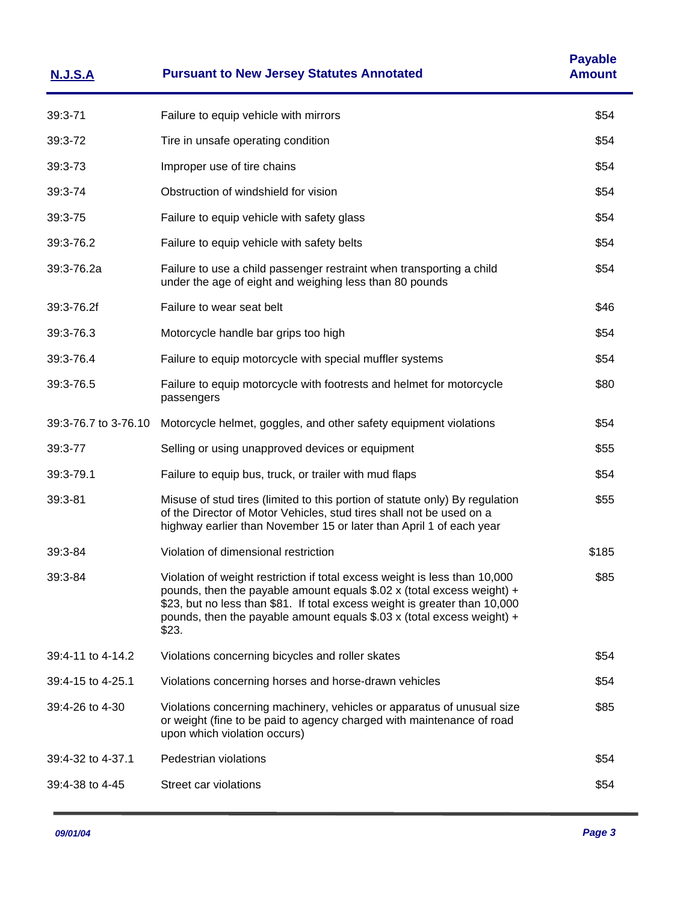| <b>N.J.S.A</b>       | <b>Pursuant to New Jersey Statutes Annotated</b>                                                                                                                                                                                                                                                                                  | <b>Payable</b><br><b>Amount</b> |
|----------------------|-----------------------------------------------------------------------------------------------------------------------------------------------------------------------------------------------------------------------------------------------------------------------------------------------------------------------------------|---------------------------------|
| 39:3-71              | Failure to equip vehicle with mirrors                                                                                                                                                                                                                                                                                             | \$54                            |
| 39:3-72              | Tire in unsafe operating condition                                                                                                                                                                                                                                                                                                | \$54                            |
| 39:3-73              | Improper use of tire chains                                                                                                                                                                                                                                                                                                       | \$54                            |
| 39:3-74              | Obstruction of windshield for vision                                                                                                                                                                                                                                                                                              | \$54                            |
| 39:3-75              | Failure to equip vehicle with safety glass                                                                                                                                                                                                                                                                                        | \$54                            |
| 39:3-76.2            | Failure to equip vehicle with safety belts                                                                                                                                                                                                                                                                                        | \$54                            |
| 39:3-76.2a           | Failure to use a child passenger restraint when transporting a child<br>under the age of eight and weighing less than 80 pounds                                                                                                                                                                                                   | \$54                            |
| 39:3-76.2f           | Failure to wear seat belt                                                                                                                                                                                                                                                                                                         | \$46                            |
| 39:3-76.3            | Motorcycle handle bar grips too high                                                                                                                                                                                                                                                                                              | \$54                            |
| 39:3-76.4            | Failure to equip motorcycle with special muffler systems                                                                                                                                                                                                                                                                          | \$54                            |
| 39:3-76.5            | Failure to equip motorcycle with footrests and helmet for motorcycle<br>passengers                                                                                                                                                                                                                                                | \$80                            |
| 39:3-76.7 to 3-76.10 | Motorcycle helmet, goggles, and other safety equipment violations                                                                                                                                                                                                                                                                 | \$54                            |
| 39:3-77              | Selling or using unapproved devices or equipment                                                                                                                                                                                                                                                                                  | \$55                            |
| 39:3-79.1            | Failure to equip bus, truck, or trailer with mud flaps                                                                                                                                                                                                                                                                            | \$54                            |
| 39:3-81              | Misuse of stud tires (limited to this portion of statute only) By regulation<br>of the Director of Motor Vehicles, stud tires shall not be used on a<br>highway earlier than November 15 or later than April 1 of each year                                                                                                       | \$55                            |
| $39:3 - 84$          | Violation of dimensional restriction                                                                                                                                                                                                                                                                                              | \$185                           |
| $39:3 - 84$          | Violation of weight restriction if total excess weight is less than 10,000<br>pounds, then the payable amount equals $$.02 \times (total excess weight) +$<br>\$23, but no less than \$81. If total excess weight is greater than 10,000<br>pounds, then the payable amount equals $$.03 \times (total excess weight) +$<br>\$23. | \$85                            |
| 39:4-11 to 4-14.2    | Violations concerning bicycles and roller skates                                                                                                                                                                                                                                                                                  | \$54                            |
| 39:4-15 to 4-25.1    | Violations concerning horses and horse-drawn vehicles                                                                                                                                                                                                                                                                             | \$54                            |
| 39:4-26 to 4-30      | Violations concerning machinery, vehicles or apparatus of unusual size<br>or weight (fine to be paid to agency charged with maintenance of road<br>upon which violation occurs)                                                                                                                                                   | \$85                            |
| 39:4-32 to 4-37.1    | Pedestrian violations                                                                                                                                                                                                                                                                                                             | \$54                            |
| 39:4-38 to 4-45      | Street car violations                                                                                                                                                                                                                                                                                                             | \$54                            |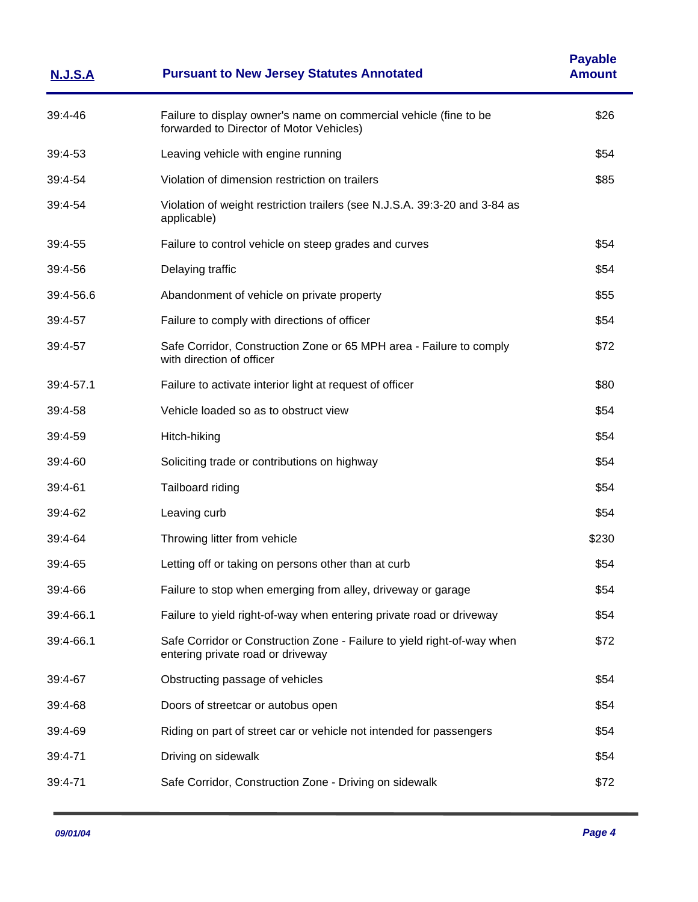| <u>N.J.S.A</u> | <b>Pursuant to New Jersey Statutes Annotated</b>                                                              | <b>Payable</b><br><b>Amount</b> |
|----------------|---------------------------------------------------------------------------------------------------------------|---------------------------------|
| 39:4-46        | Failure to display owner's name on commercial vehicle (fine to be<br>forwarded to Director of Motor Vehicles) | \$26                            |
| 39:4-53        | Leaving vehicle with engine running                                                                           | \$54                            |
| 39:4-54        | Violation of dimension restriction on trailers                                                                | \$85                            |
| 39:4-54        | Violation of weight restriction trailers (see N.J.S.A. 39:3-20 and 3-84 as<br>applicable)                     |                                 |
| 39:4-55        | Failure to control vehicle on steep grades and curves                                                         | \$54                            |
| 39:4-56        | Delaying traffic                                                                                              | \$54                            |
| 39:4-56.6      | Abandonment of vehicle on private property                                                                    | \$55                            |
| 39:4-57        | Failure to comply with directions of officer                                                                  | \$54                            |
| 39:4-57        | Safe Corridor, Construction Zone or 65 MPH area - Failure to comply<br>with direction of officer              | \$72                            |
| 39:4-57.1      | Failure to activate interior light at request of officer                                                      | \$80                            |
| 39:4-58        | Vehicle loaded so as to obstruct view                                                                         | \$54                            |
| 39:4-59        | Hitch-hiking                                                                                                  | \$54                            |
| 39:4-60        | Soliciting trade or contributions on highway                                                                  | \$54                            |
| 39:4-61        | Tailboard riding                                                                                              | \$54                            |
| 39:4-62        | Leaving curb                                                                                                  | \$54                            |
| 39:4-64        | Throwing litter from vehicle                                                                                  | \$230                           |
| 39:4-65        | Letting off or taking on persons other than at curb                                                           | \$54                            |
| 39:4-66        | Failure to stop when emerging from alley, driveway or garage                                                  | \$54                            |
| 39:4-66.1      | Failure to yield right-of-way when entering private road or driveway                                          | \$54                            |
| 39:4-66.1      | Safe Corridor or Construction Zone - Failure to yield right-of-way when<br>entering private road or driveway  | \$72                            |
| 39:4-67        | Obstructing passage of vehicles                                                                               | \$54                            |
| 39:4-68        | Doors of streetcar or autobus open                                                                            | \$54                            |
| 39:4-69        | Riding on part of street car or vehicle not intended for passengers                                           | \$54                            |
| 39:4-71        | Driving on sidewalk                                                                                           | \$54                            |
| 39:4-71        | Safe Corridor, Construction Zone - Driving on sidewalk                                                        | \$72                            |
|                |                                                                                                               |                                 |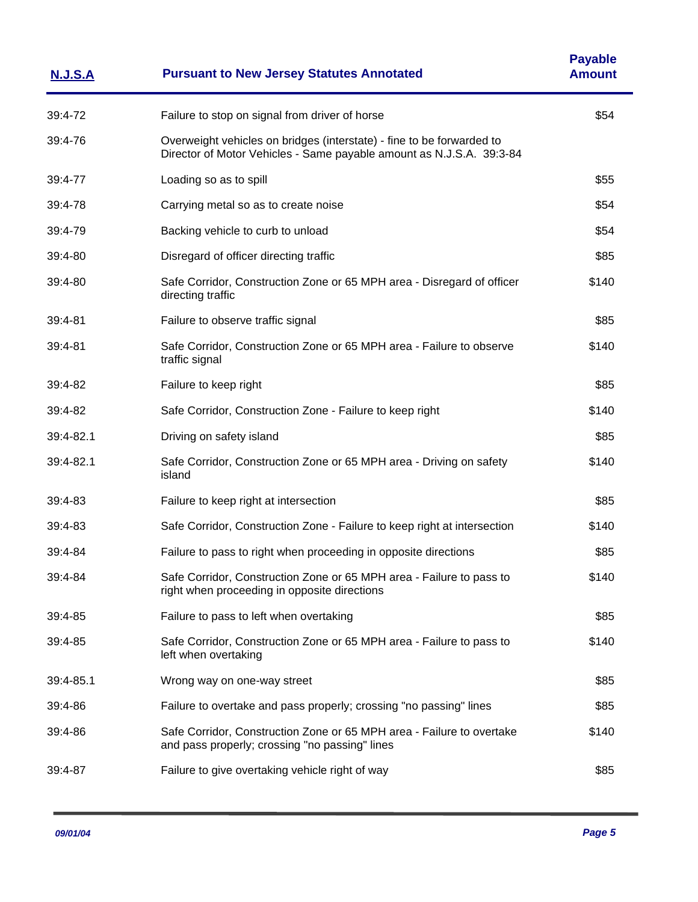| <b>N.J.S.A</b> | <b>Pursuant to New Jersey Statutes Annotated</b>                                                                                              | <b>Payable</b><br><b>Amount</b> |
|----------------|-----------------------------------------------------------------------------------------------------------------------------------------------|---------------------------------|
| 39:4-72        | Failure to stop on signal from driver of horse                                                                                                | \$54                            |
| 39:4-76        | Overweight vehicles on bridges (interstate) - fine to be forwarded to<br>Director of Motor Vehicles - Same payable amount as N.J.S.A. 39:3-84 |                                 |
| 39:4-77        | Loading so as to spill                                                                                                                        | \$55                            |
| 39:4-78        | Carrying metal so as to create noise                                                                                                          | \$54                            |
| 39:4-79        | Backing vehicle to curb to unload                                                                                                             | \$54                            |
| 39:4-80        | Disregard of officer directing traffic                                                                                                        | \$85                            |
| 39:4-80        | Safe Corridor, Construction Zone or 65 MPH area - Disregard of officer<br>directing traffic                                                   | \$140                           |
| 39:4-81        | Failure to observe traffic signal                                                                                                             | \$85                            |
| 39:4-81        | Safe Corridor, Construction Zone or 65 MPH area - Failure to observe<br>traffic signal                                                        | \$140                           |
| 39:4-82        | Failure to keep right                                                                                                                         | \$85                            |
| 39:4-82        | Safe Corridor, Construction Zone - Failure to keep right                                                                                      | \$140                           |
| 39:4-82.1      | Driving on safety island                                                                                                                      | \$85                            |
| 39:4-82.1      | Safe Corridor, Construction Zone or 65 MPH area - Driving on safety<br>island                                                                 | \$140                           |
| 39:4-83        | Failure to keep right at intersection                                                                                                         | \$85                            |
| 39:4-83        | Safe Corridor, Construction Zone - Failure to keep right at intersection                                                                      | \$140                           |
| 39:4-84        | Failure to pass to right when proceeding in opposite directions                                                                               | \$85                            |
| 39:4-84        | Safe Corridor, Construction Zone or 65 MPH area - Failure to pass to<br>right when proceeding in opposite directions                          | \$140                           |
| 39:4-85        | Failure to pass to left when overtaking                                                                                                       | \$85                            |
| 39:4-85        | Safe Corridor, Construction Zone or 65 MPH area - Failure to pass to<br>left when overtaking                                                  | \$140                           |
| 39:4-85.1      | Wrong way on one-way street                                                                                                                   | \$85                            |
| 39:4-86        | Failure to overtake and pass properly; crossing "no passing" lines                                                                            | \$85                            |
| 39:4-86        | Safe Corridor, Construction Zone or 65 MPH area - Failure to overtake<br>and pass properly; crossing "no passing" lines                       | \$140                           |
| 39:4-87        | Failure to give overtaking vehicle right of way                                                                                               | \$85                            |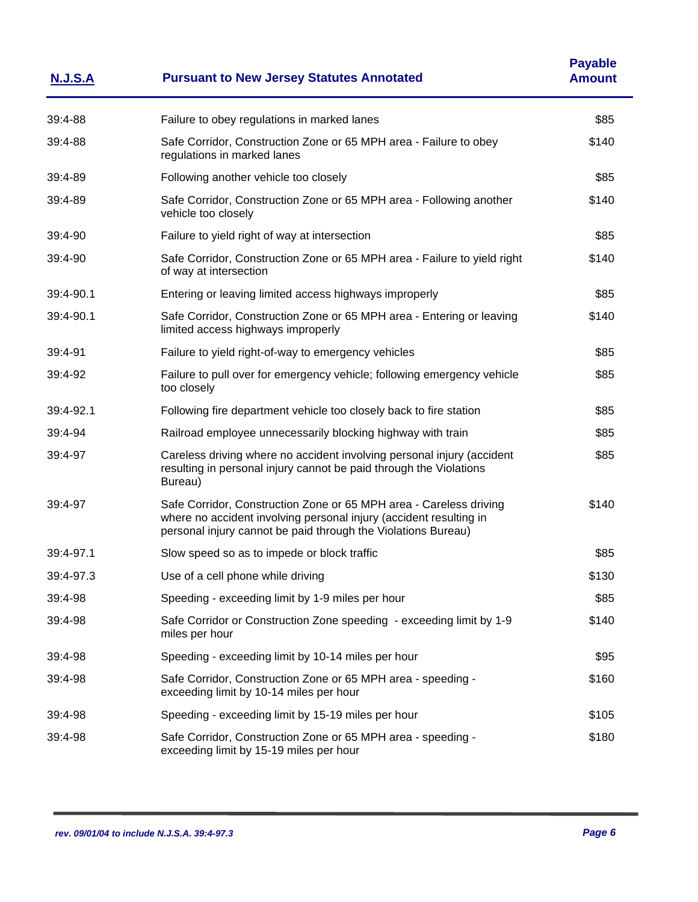| <u>N.J.S.A</u> | <b>Pursuant to New Jersey Statutes Annotated</b>                                                                                                                                                          | <b>Payable</b><br><b>Amount</b> |
|----------------|-----------------------------------------------------------------------------------------------------------------------------------------------------------------------------------------------------------|---------------------------------|
| 39:4-88        | Failure to obey regulations in marked lanes                                                                                                                                                               | \$85                            |
| 39:4-88        | Safe Corridor, Construction Zone or 65 MPH area - Failure to obey<br>regulations in marked lanes                                                                                                          | \$140                           |
| 39:4-89        | Following another vehicle too closely                                                                                                                                                                     | \$85                            |
| 39:4-89        | Safe Corridor, Construction Zone or 65 MPH area - Following another<br>vehicle too closely                                                                                                                | \$140                           |
| 39:4-90        | Failure to yield right of way at intersection                                                                                                                                                             | \$85                            |
| 39:4-90        | Safe Corridor, Construction Zone or 65 MPH area - Failure to yield right<br>of way at intersection                                                                                                        | \$140                           |
| 39:4-90.1      | Entering or leaving limited access highways improperly                                                                                                                                                    | \$85                            |
| 39:4-90.1      | Safe Corridor, Construction Zone or 65 MPH area - Entering or leaving<br>limited access highways improperly                                                                                               | \$140                           |
| 39:4-91        | Failure to yield right-of-way to emergency vehicles                                                                                                                                                       | \$85                            |
| 39:4-92        | Failure to pull over for emergency vehicle; following emergency vehicle<br>too closely                                                                                                                    | \$85                            |
| 39:4-92.1      | Following fire department vehicle too closely back to fire station                                                                                                                                        | \$85                            |
| 39:4-94        | Railroad employee unnecessarily blocking highway with train                                                                                                                                               | \$85                            |
| 39:4-97        | Careless driving where no accident involving personal injury (accident<br>resulting in personal injury cannot be paid through the Violations<br>Bureau)                                                   | \$85                            |
| 39:4-97        | Safe Corridor, Construction Zone or 65 MPH area - Careless driving<br>where no accident involving personal injury (accident resulting in<br>personal injury cannot be paid through the Violations Bureau) | \$140                           |
| 39:4-97.1      | Slow speed so as to impede or block traffic                                                                                                                                                               | \$85                            |
| 39:4-97.3      | Use of a cell phone while driving                                                                                                                                                                         | \$130                           |
| 39:4-98        | Speeding - exceeding limit by 1-9 miles per hour                                                                                                                                                          | \$85                            |
| 39:4-98        | Safe Corridor or Construction Zone speeding - exceeding limit by 1-9<br>miles per hour                                                                                                                    | \$140                           |
| 39:4-98        | Speeding - exceeding limit by 10-14 miles per hour                                                                                                                                                        | \$95                            |
| 39:4-98        | Safe Corridor, Construction Zone or 65 MPH area - speeding -<br>exceeding limit by 10-14 miles per hour                                                                                                   | \$160                           |
| 39:4-98        | Speeding - exceeding limit by 15-19 miles per hour                                                                                                                                                        | \$105                           |
| 39:4-98        | Safe Corridor, Construction Zone or 65 MPH area - speeding -<br>exceeding limit by 15-19 miles per hour                                                                                                   | \$180                           |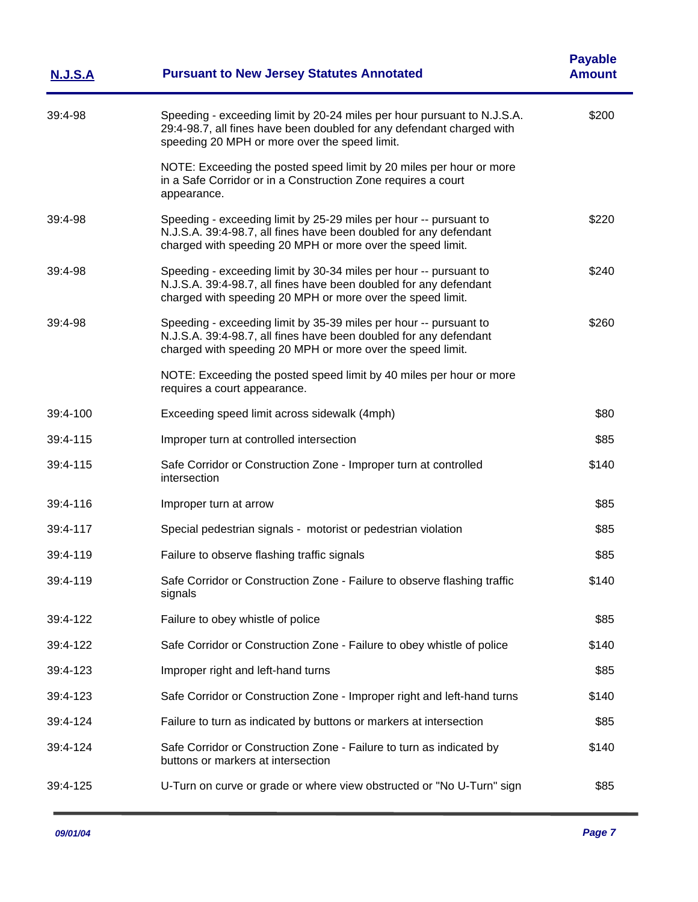| <u>N.J.S.A</u> | <b>Pursuant to New Jersey Statutes Annotated</b>                                                                                                                                                     | <b>Payable</b><br><b>Amount</b> |
|----------------|------------------------------------------------------------------------------------------------------------------------------------------------------------------------------------------------------|---------------------------------|
| 39:4-98        | Speeding - exceeding limit by 20-24 miles per hour pursuant to N.J.S.A.<br>29:4-98.7, all fines have been doubled for any defendant charged with<br>speeding 20 MPH or more over the speed limit.    | \$200                           |
|                | NOTE: Exceeding the posted speed limit by 20 miles per hour or more<br>in a Safe Corridor or in a Construction Zone requires a court<br>appearance.                                                  |                                 |
| 39:4-98        | Speeding - exceeding limit by 25-29 miles per hour -- pursuant to<br>N.J.S.A. 39:4-98.7, all fines have been doubled for any defendant<br>charged with speeding 20 MPH or more over the speed limit. | \$220                           |
| 39:4-98        | Speeding - exceeding limit by 30-34 miles per hour -- pursuant to<br>N.J.S.A. 39:4-98.7, all fines have been doubled for any defendant<br>charged with speeding 20 MPH or more over the speed limit. | \$240                           |
| 39:4-98        | Speeding - exceeding limit by 35-39 miles per hour -- pursuant to<br>N.J.S.A. 39:4-98.7, all fines have been doubled for any defendant<br>charged with speeding 20 MPH or more over the speed limit. | \$260                           |
|                | NOTE: Exceeding the posted speed limit by 40 miles per hour or more<br>requires a court appearance.                                                                                                  |                                 |
| 39:4-100       | Exceeding speed limit across sidewalk (4mph)                                                                                                                                                         | \$80                            |
| 39:4-115       | Improper turn at controlled intersection                                                                                                                                                             | \$85                            |
| 39:4-115       | Safe Corridor or Construction Zone - Improper turn at controlled<br>intersection                                                                                                                     | \$140                           |
| 39:4-116       | Improper turn at arrow                                                                                                                                                                               | \$85                            |
| 39:4-117       | Special pedestrian signals - motorist or pedestrian violation                                                                                                                                        | \$85                            |
| 39:4-119       | Failure to observe flashing traffic signals                                                                                                                                                          | \$85                            |
| 39:4-119       | Safe Corridor or Construction Zone - Failure to observe flashing traffic<br>signals                                                                                                                  | \$140                           |
| 39:4-122       | Failure to obey whistle of police                                                                                                                                                                    | \$85                            |
| 39:4-122       | Safe Corridor or Construction Zone - Failure to obey whistle of police                                                                                                                               | \$140                           |
| 39:4-123       | Improper right and left-hand turns                                                                                                                                                                   | \$85                            |
| 39:4-123       | Safe Corridor or Construction Zone - Improper right and left-hand turns                                                                                                                              | \$140                           |
| 39:4-124       | Failure to turn as indicated by buttons or markers at intersection                                                                                                                                   | \$85                            |
| 39:4-124       | Safe Corridor or Construction Zone - Failure to turn as indicated by<br>buttons or markers at intersection                                                                                           | \$140                           |
| 39:4-125       | U-Turn on curve or grade or where view obstructed or "No U-Turn" sign                                                                                                                                | \$85                            |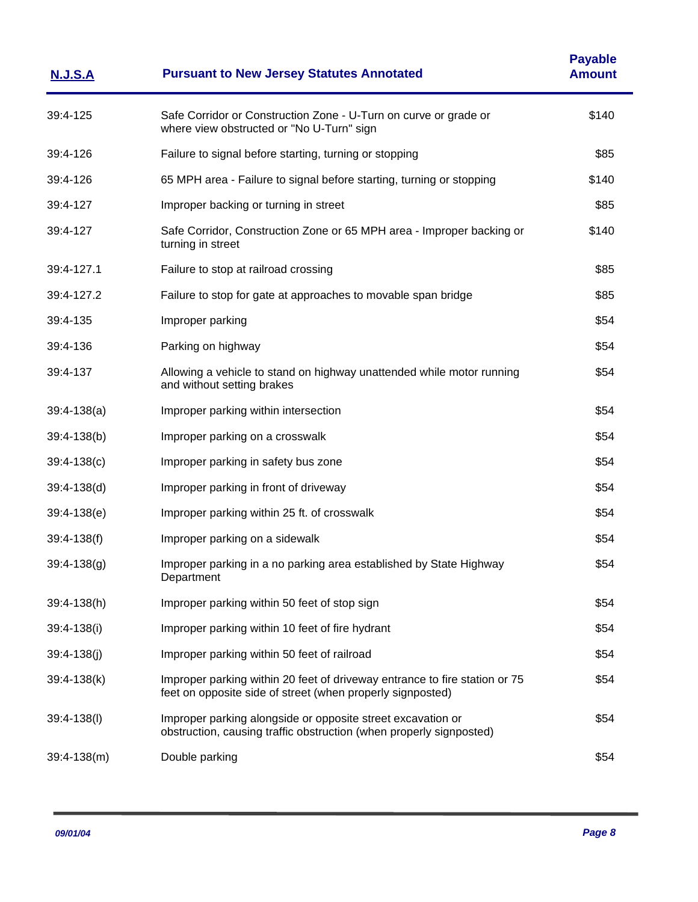| <u>N.J.S.A</u>  | <b>Pursuant to New Jersey Statutes Annotated</b>                                                                                         | <b>Payable</b><br><b>Amount</b> |
|-----------------|------------------------------------------------------------------------------------------------------------------------------------------|---------------------------------|
| 39:4-125        | Safe Corridor or Construction Zone - U-Turn on curve or grade or<br>where view obstructed or "No U-Turn" sign                            | \$140                           |
| 39:4-126        | Failure to signal before starting, turning or stopping                                                                                   | \$85                            |
| 39:4-126        | 65 MPH area - Failure to signal before starting, turning or stopping                                                                     | \$140                           |
| 39:4-127        | Improper backing or turning in street                                                                                                    | \$85                            |
| 39:4-127        | Safe Corridor, Construction Zone or 65 MPH area - Improper backing or<br>turning in street                                               | \$140                           |
| 39:4-127.1      | Failure to stop at railroad crossing                                                                                                     | \$85                            |
| 39:4-127.2      | Failure to stop for gate at approaches to movable span bridge                                                                            | \$85                            |
| 39:4-135        | Improper parking                                                                                                                         | \$54                            |
| 39:4-136        | Parking on highway                                                                                                                       | \$54                            |
| 39:4-137        | Allowing a vehicle to stand on highway unattended while motor running<br>and without setting brakes                                      | \$54                            |
| $39:4-138(a)$   | Improper parking within intersection                                                                                                     | \$54                            |
| $39:4-138(b)$   | Improper parking on a crosswalk                                                                                                          | \$54                            |
| $39:4-138(c)$   | Improper parking in safety bus zone                                                                                                      | \$54                            |
| $39:4-138(d)$   | Improper parking in front of driveway                                                                                                    | \$54                            |
| $39:4-138(e)$   | Improper parking within 25 ft. of crosswalk                                                                                              | \$54                            |
| $39:4-138(f)$   | Improper parking on a sidewalk                                                                                                           | \$54                            |
| $39:4-138(g)$   | Improper parking in a no parking area established by State Highway<br>Department                                                         | \$54                            |
| 39:4-138(h)     | Improper parking within 50 feet of stop sign                                                                                             | \$54                            |
| 39:4-138(i)     | Improper parking within 10 feet of fire hydrant                                                                                          | \$54                            |
| $39:4-138(i)$   | Improper parking within 50 feet of railroad                                                                                              | \$54                            |
| $39:4-138(k)$   | Improper parking within 20 feet of driveway entrance to fire station or 75<br>feet on opposite side of street (when properly signposted) | \$54                            |
| $39:4 - 138(1)$ | Improper parking alongside or opposite street excavation or<br>obstruction, causing traffic obstruction (when properly signposted)       | \$54                            |
| $39:4-138(m)$   | Double parking                                                                                                                           | \$54                            |
|                 |                                                                                                                                          |                                 |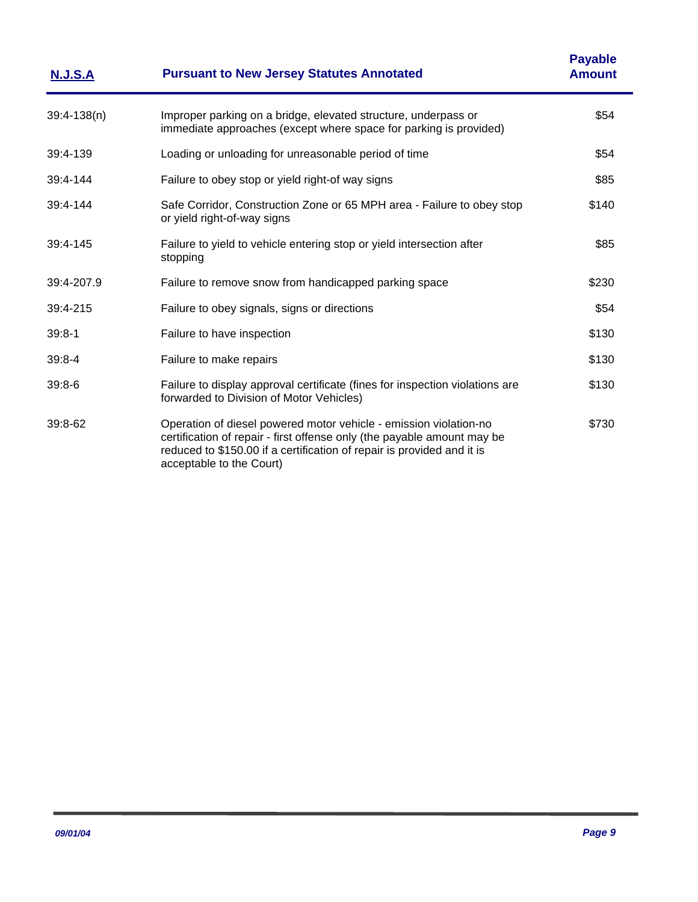| <u>N.J.S.A</u> | <b>Pursuant to New Jersey Statutes Annotated</b>                                                                                                                                                                                                   | <b>Payable</b><br><b>Amount</b> |
|----------------|----------------------------------------------------------------------------------------------------------------------------------------------------------------------------------------------------------------------------------------------------|---------------------------------|
| $39:4-138(n)$  | Improper parking on a bridge, elevated structure, underpass or<br>immediate approaches (except where space for parking is provided)                                                                                                                | \$54                            |
| 39:4-139       | Loading or unloading for unreasonable period of time                                                                                                                                                                                               | \$54                            |
| 39:4-144       | Failure to obey stop or yield right-of way signs                                                                                                                                                                                                   | \$85                            |
| 39:4-144       | Safe Corridor, Construction Zone or 65 MPH area - Failure to obey stop<br>or yield right-of-way signs                                                                                                                                              | \$140                           |
| 39:4-145       | Failure to yield to vehicle entering stop or yield intersection after<br>stopping                                                                                                                                                                  | \$85                            |
| 39:4-207.9     | Failure to remove snow from handicapped parking space                                                                                                                                                                                              | \$230                           |
| 39:4-215       | Failure to obey signals, signs or directions                                                                                                                                                                                                       | \$54                            |
| $39:8 - 1$     | Failure to have inspection                                                                                                                                                                                                                         | \$130                           |
| $39:8 - 4$     | Failure to make repairs                                                                                                                                                                                                                            | \$130                           |
| $39:8-6$       | Failure to display approval certificate (fines for inspection violations are<br>forwarded to Division of Motor Vehicles)                                                                                                                           | \$130                           |
| 39:8-62        | Operation of diesel powered motor vehicle - emission violation-no<br>certification of repair - first offense only (the payable amount may be<br>reduced to \$150.00 if a certification of repair is provided and it is<br>acceptable to the Court) | \$730                           |